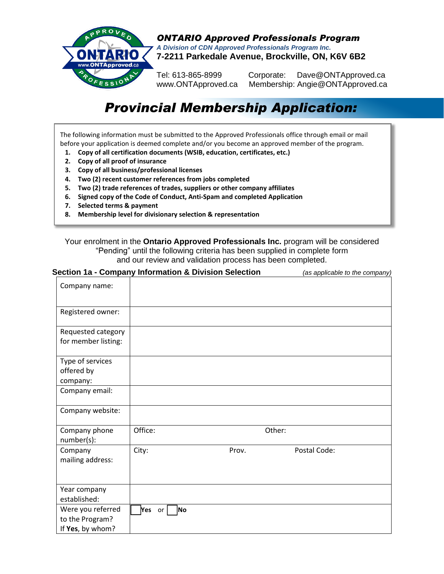

*ONTARIO Approved Professionals Program A Division of CDN Approved Professionals Program Inc.* **7-2211 Parkedale Avenue, Brockville, ON, K6V 6B2**

Tel: 613-865-8999 Corporate: Dave@ONTApproved.ca www.ONTApproved.ca Membership: Angie@ONTApproved.ca

# *Provincial Membership Application:*

The following information must be submitted to the Approved Professionals office through email or mail before your application is deemed complete and/or you become an approved member of the program.

- **1. Copy of all certification documents (WSIB, education, certificates, etc.)**
- **2. Copy of all proof of insurance**
- **3. Copy of all business/professional licenses**
- **4. Two (2) recent customer references from jobs completed**
- **5. Two (2) trade references of trades, suppliers or other company affiliates**
- **6. Signed copy of the Code of Conduct, Anti-Spam and completed Application**
- **7. Selected terms & payment**
- **8. Membership level for divisionary selection & representation**

Your enrolment in the **Ontario Approved Professionals Inc.** program will be considered "Pending" until the following criteria has been supplied in complete form and our review and validation process has been completed.

| Section 1a - Company Information & Division Selection |              |       | (as applicable to the company) |  |
|-------------------------------------------------------|--------------|-------|--------------------------------|--|
| Company name:                                         |              |       |                                |  |
| Registered owner:                                     |              |       |                                |  |
| Requested category                                    |              |       |                                |  |
| for member listing:                                   |              |       |                                |  |
| Type of services<br>offered by                        |              |       |                                |  |
| company:                                              |              |       |                                |  |
| Company email:                                        |              |       |                                |  |
| Company website:                                      |              |       |                                |  |
| Company phone<br>number(s):                           | Office:      |       | Other:                         |  |
| Company<br>mailing address:                           | City:        | Prov. | Postal Code:                   |  |
| Year company<br>established:                          |              |       |                                |  |
| Were you referred                                     | Yes or<br>No |       |                                |  |
| to the Program?                                       |              |       |                                |  |
| If Yes, by whom?                                      |              |       |                                |  |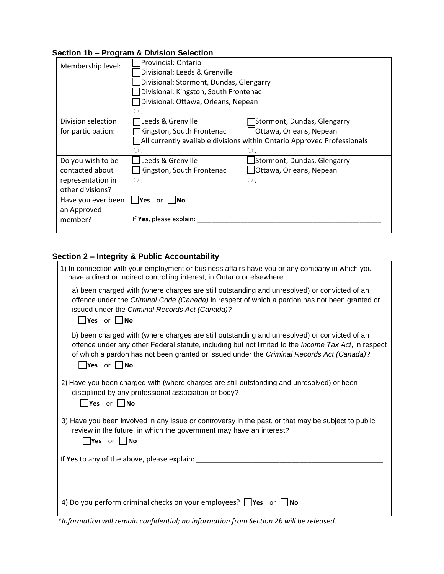## **Section 1b – Program & Division Selection**

| Membership level:  | Provincial: Ontario<br>Divisional: Leeds & Grenville<br>Divisional: Stormont, Dundas, Glengarry<br>Divisional: Kingston, South Frontenac<br>□Divisional: Ottawa, Orleans, Nepean |                             |  |
|--------------------|----------------------------------------------------------------------------------------------------------------------------------------------------------------------------------|-----------------------------|--|
| Division selection | Leeds & Grenville                                                                                                                                                                | Stormont, Dundas, Glengarry |  |
| for participation: | Kingston, South Frontenac                                                                                                                                                        | Ottawa, Orleans, Nepean     |  |
|                    | All currently available divisions within Ontario Approved Professionals                                                                                                          |                             |  |
|                    |                                                                                                                                                                                  |                             |  |
| Do you wish to be  | Leeds & Grenville                                                                                                                                                                | Stormont, Dundas, Glengarry |  |
| contacted about    | □Kingston, South Frontenac                                                                                                                                                       | Ottawa, Orleans, Nepean     |  |
| representation in  | $\circ$ .                                                                                                                                                                        | $\circ$ .                   |  |
| other divisions?   |                                                                                                                                                                                  |                             |  |
| Have you ever been | l <b>Yes</b> or<br>– INo                                                                                                                                                         |                             |  |
| an Approved        |                                                                                                                                                                                  |                             |  |
| member?            | If Yes, please explain:                                                                                                                                                          |                             |  |
|                    |                                                                                                                                                                                  |                             |  |

# **Section 2 – Integrity & Public Accountability**

| 1) In connection with your employment or business affairs have you or any company in which you<br>have a direct or indirect controlling interest, in Ontario or elsewhere:                                                                                                                                                   |
|------------------------------------------------------------------------------------------------------------------------------------------------------------------------------------------------------------------------------------------------------------------------------------------------------------------------------|
| a) been charged with (where charges are still outstanding and unresolved) or convicted of an<br>offence under the Criminal Code (Canada) in respect of which a pardon has not been granted or<br>issued under the Criminal Records Act (Canada)?<br>$\Box$ Yes or $\Box$ No                                                  |
| b) been charged with (where charges are still outstanding and unresolved) or convicted of an<br>offence under any other Federal statute, including but not limited to the Income Tax Act, in respect<br>of which a pardon has not been granted or issued under the Criminal Records Act (Canada)?<br>$\Box$ Yes or $\Box$ No |
| 2) Have you been charged with (where charges are still outstanding and unresolved) or been<br>disciplined by any professional association or body?<br>$\Box$ Yes or $\Box$ No                                                                                                                                                |
| 3) Have you been involved in any issue or controversy in the past, or that may be subject to public<br>review in the future, in which the government may have an interest?<br>$\Box$ Yes or $\Box$ No                                                                                                                        |
| If Yes to any of the above, please explain: _______                                                                                                                                                                                                                                                                          |
|                                                                                                                                                                                                                                                                                                                              |
| 4) Do you perform criminal checks on your employees? $\Box$ Yes or $\Box$ No                                                                                                                                                                                                                                                 |

 *\*Information will remain confidential; no information from Section 2b will be released.*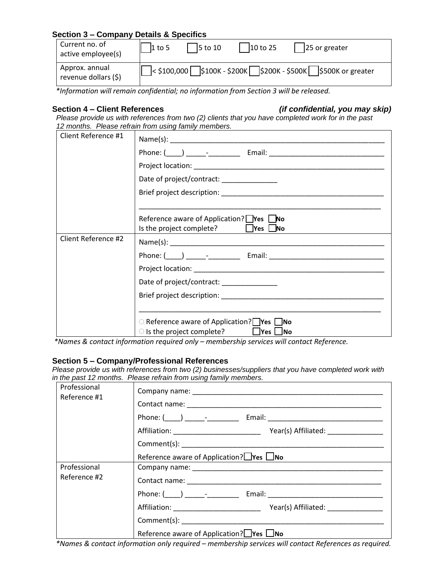## **Section 3 – Company Details & Specifics**

| Current no. of<br>active employee(s)   | $1$ to 5 | $5$ to 10 | $10$ to 25                                              | 25 or greater     |
|----------------------------------------|----------|-----------|---------------------------------------------------------|-------------------|
| Approx. annual<br>revenue dollars (\$) |          |           | $\frac{1}{2}$ \$100,000 \$100K - \$200K \$200K - \$500K | \$500K or greater |

 *\*Information will remain confidential; no information from Section 3 will be released.*

## **Section 4 – Client References** *(if confidential, you may skip)*

 *Please provide us with references from two (2) clients that you have completed work for in the past 12 months. Please refrain from using family members.*

| Client Reference #1 |                                                                                                           |
|---------------------|-----------------------------------------------------------------------------------------------------------|
|                     |                                                                                                           |
|                     |                                                                                                           |
|                     | Date of project/contract: ________________                                                                |
|                     |                                                                                                           |
|                     |                                                                                                           |
|                     | Reference aware of Application? Pes Livo<br>Is the project complete? $\Box$ Yes $\Box$ No                 |
| Client Reference #2 |                                                                                                           |
|                     |                                                                                                           |
|                     |                                                                                                           |
|                     | Date of project/contract: _______________                                                                 |
|                     |                                                                                                           |
|                     |                                                                                                           |
|                     | ○ Reference aware of Application? <b>Pres</b> No<br>$\circ$ is the project complete? $\Box$ Yes $\Box$ No |

*\*Names & contact information required only – membership services will contact Reference.*

### **Section 5 – Company/Professional References**

*Please provide us with references from two (2) businesses/suppliers that you have completed work with in the past 12 months. Please refrain from using family members.*

| Professional<br>Reference #1 | n arc past iz monais. Trodso ronain nom asing iamily mombols. |
|------------------------------|---------------------------------------------------------------|
|                              |                                                               |
|                              |                                                               |
|                              |                                                               |
|                              |                                                               |
|                              | Reference aware of Application? $\Box$ Yes $\Box$ No          |
| Professional                 |                                                               |
| Reference #2                 |                                                               |
|                              |                                                               |
|                              |                                                               |
|                              |                                                               |
|                              | Reference aware of Application? $\Box$ Yes $\Box$ No          |

 *\*Names & contact information only required – membership services will contact References as required.*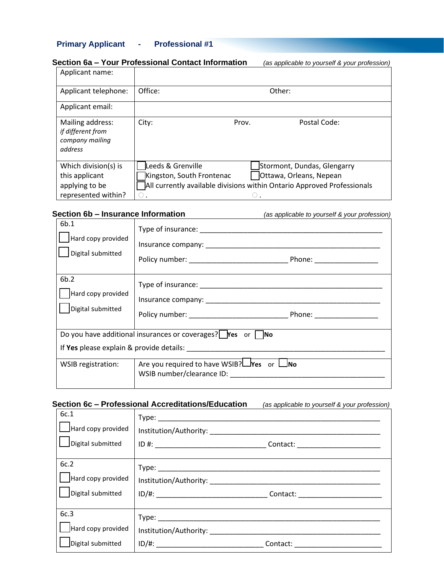## **Primary Applicant - Professional #1**

| Applicant name:                                                                 |                                                     |       |                                                                                                                                   |
|---------------------------------------------------------------------------------|-----------------------------------------------------|-------|-----------------------------------------------------------------------------------------------------------------------------------|
| Applicant telephone:                                                            | Office:                                             |       | Other:                                                                                                                            |
| Applicant email:                                                                |                                                     |       |                                                                                                                                   |
| Mailing address:<br>if different from<br>company mailing<br>address             | City:                                               | Prov. | Postal Code:                                                                                                                      |
| Which division(s) is<br>this applicant<br>applying to be<br>represented within? | Leeds & Grenville<br>Kingston, South Frontenac<br>0 | 0     | Stormont, Dundas, Glengarry<br>Ottawa, Orleans, Nepean<br>All currently available divisions within Ontario Approved Professionals |

**Section 6b – Insurance Information** *(as applicable to yourself & your profession)*

| 6b.1<br>Hard copy provided<br>Digital submitted                             |                                                        |  |
|-----------------------------------------------------------------------------|--------------------------------------------------------|--|
| 6b.2<br>Hard copy provided<br>Digital submitted                             |                                                        |  |
| Do you have additional insurances or coverages?   $\forall$ es or $\neg$ No |                                                        |  |
|                                                                             |                                                        |  |
| WSIB registration:                                                          | Are you required to have WSIB? $\Box$ Yes or $\Box$ No |  |

## **Section 6c – Professional Accreditations/Education** *(as applicable to yourself & your profession)*

| 6c.1<br>$\Box$ Hard copy provided<br>Digital submitted |          |
|--------------------------------------------------------|----------|
| 6c.2<br>  Hard copy provided<br>Digital submitted      |          |
| 6c.3<br>  Hard copy provided<br>Digital submitted      | Contact: |

### **Section 6a – Your Professional Contact Information** *(as applicable to yourself & your profession)*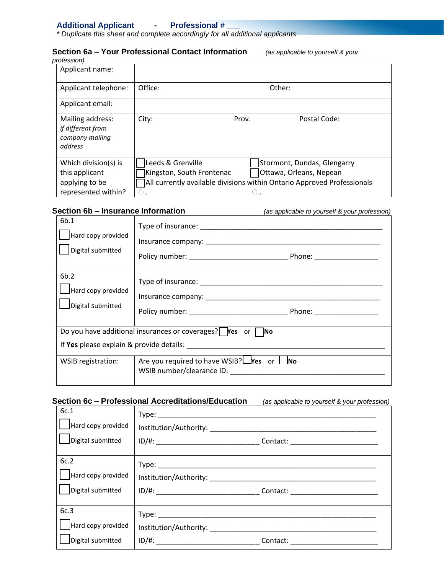## **Additional Applicant - Professional # \_\_\_**

*\* Duplicate this sheet and complete accordingly for all additional applicants*

#### **Section 6a – Your Professional Contact Information** *(as applicable to yourself & your profession)*

| ,,,,,,,,,                                                                       |                                                                          |       |                                                                                                                                    |
|---------------------------------------------------------------------------------|--------------------------------------------------------------------------|-------|------------------------------------------------------------------------------------------------------------------------------------|
| Applicant name:                                                                 |                                                                          |       |                                                                                                                                    |
| Applicant telephone:                                                            | Office:                                                                  |       | Other:                                                                                                                             |
| Applicant email:                                                                |                                                                          |       |                                                                                                                                    |
| Mailing address:<br>if different from<br>company mailing<br>address             | City:                                                                    | Prov. | Postal Code:                                                                                                                       |
| Which division(s) is<br>this applicant<br>applying to be<br>represented within? | Leeds & Grenville<br>Kingston, South Frontenac<br>$\left( \quad \right)$ | O.    | Stormont, Dundas, Glengarry<br>Ottawa, Orleans, Nepean<br>7All currently available divisions within Ontario Approved Professionals |

## **Section 6b – Insurance Information** *(as applicable to yourself & your profession)*

| 6b.1<br>Hard copy provided<br>Digital submitted                                                                                                                                                                                |                                                                                         | Phone: __________________ |
|--------------------------------------------------------------------------------------------------------------------------------------------------------------------------------------------------------------------------------|-----------------------------------------------------------------------------------------|---------------------------|
| 6b.2<br>Hard copy provided<br>Digital submitted                                                                                                                                                                                |                                                                                         |                           |
|                                                                                                                                                                                                                                | Do you have additional insurances or coverages? $\blacksquare$ Yes or $\blacksquare$ No |                           |
| If Yes please explain & provide details: North Contract to the contract of the contract of the contract of the contract of the contract of the contract of the contract of the contract of the contract of the contract of the |                                                                                         |                           |
| WSIB registration:                                                                                                                                                                                                             | Are you required to have WSIB? $\Box$ Yes or $\Box$ No<br>WSIB number/clearance ID:     |                           |

## **Section 6c – Professional Accreditations/Education** *(as applicable to yourself & your profession)*

| 6c.1                                            |  |
|-------------------------------------------------|--|
| Hard copy provided                              |  |
| Digital submitted                               |  |
| 6c.2                                            |  |
| Hard copy provided                              |  |
| Digital submitted                               |  |
| 6c.3<br>Hard copy provided<br>Digital submitted |  |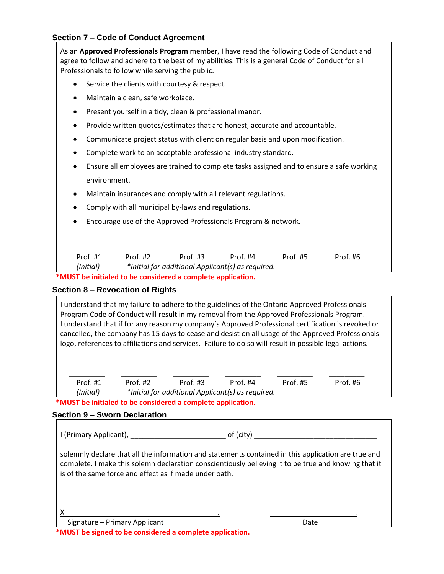## **Section 7 – Code of Conduct Agreement**

As an **Approved Professionals Program** member, I have read the following Code of Conduct and agree to follow and adhere to the best of my abilities. This is a general Code of Conduct for all Professionals to follow while serving the public. • Service the clients with courtesy & respect. • Maintain a clean, safe workplace. • Present yourself in a tidy, clean & professional manor. • Provide written quotes/estimates that are honest, accurate and accountable. • Communicate project status with client on regular basis and upon modification. • Complete work to an acceptable professional industry standard. • Ensure all employees are trained to complete tasks assigned and to ensure a safe working environment. • Maintain insurances and comply with all relevant regulations. • Comply with all municipal by-laws and regulations. • Encourage use of the Approved Professionals Program & network.  $\frac{1}{2}$  ,  $\frac{1}{2}$  ,  $\frac{1}{2}$  ,  $\frac{1}{2}$  ,  $\frac{1}{2}$  ,  $\frac{1}{2}$  ,  $\frac{1}{2}$  ,  $\frac{1}{2}$  ,  $\frac{1}{2}$  ,  $\frac{1}{2}$  ,  $\frac{1}{2}$  ,  $\frac{1}{2}$  ,  $\frac{1}{2}$  ,  $\frac{1}{2}$  ,  $\frac{1}{2}$  ,  $\frac{1}{2}$  ,  $\frac{1}{2}$  ,  $\frac{1}{2}$  ,  $\frac{1$  Prof. #1 Prof. #2 Prof. #3 Prof. #4 Prof. #5 Prof. #6  *(Initial) \*Initial for additional Applicant(s) as required.*

 **\*MUST be initialed to be considered a complete application.**

## **Section 8 – Revocation of Rights**

| I understand that my failure to adhere to the guidelines of the Ontario Approved Professionals<br>Program Code of Conduct will result in my removal from the Approved Professionals Program.<br>I understand that if for any reason my company's Approved Professional certification is revoked or<br>cancelled, the company has 15 days to cease and desist on all usage of the Approved Professionals<br>logo, references to affiliations and services. Failure to do so will result in possible legal actions. |            |            |                                                                 |          |          |  |
|-------------------------------------------------------------------------------------------------------------------------------------------------------------------------------------------------------------------------------------------------------------------------------------------------------------------------------------------------------------------------------------------------------------------------------------------------------------------------------------------------------------------|------------|------------|-----------------------------------------------------------------|----------|----------|--|
| Prof. #1<br>(Initial)                                                                                                                                                                                                                                                                                                                                                                                                                                                                                             | Prof. $#2$ | Prof. $#3$ | Prof. $#4$<br>*Initial for additional Applicant(s) as required. | Prof. #5 | Prof. #6 |  |

 **\*MUST be initialed to be considered a complete application.**

## **Section 9 – Sworn Declaration**

| I (Primary Applicant), Laterature and Contract and Contract of Tennis |                                                                                                                                                                                                             |
|-----------------------------------------------------------------------|-------------------------------------------------------------------------------------------------------------------------------------------------------------------------------------------------------------|
| is of the same force and effect as if made under oath.                | solemnly declare that all the information and statements contained in this application are true and<br>complete. I make this solemn declaration conscientiously believing it to be true and knowing that it |
| Signature - Primary Applicant                                         | Date                                                                                                                                                                                                        |

 **\*MUST be signed to be considered a complete application.**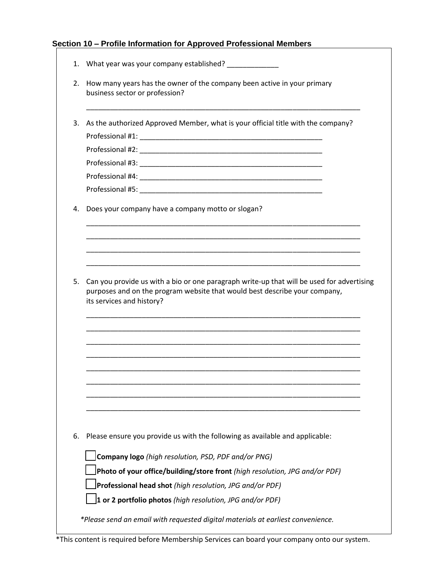## **Section 10 – Profile Information for Approved Professional Members**

| 2. | How many years has the owner of the company been active in your primary<br>business sector or profession? |
|----|-----------------------------------------------------------------------------------------------------------|
| 3. | As the authorized Approved Member, what is your official title with the company?                          |
|    |                                                                                                           |
|    |                                                                                                           |
|    |                                                                                                           |
|    |                                                                                                           |
|    |                                                                                                           |
| 4. | Does your company have a company motto or slogan?                                                         |
|    |                                                                                                           |
|    |                                                                                                           |
|    | purposes and on the program website that would best describe your company,                                |
|    | its services and history?                                                                                 |
|    |                                                                                                           |
|    |                                                                                                           |
|    |                                                                                                           |
|    |                                                                                                           |
|    |                                                                                                           |
|    | Please ensure you provide us with the following as available and applicable:                              |
|    | Company logo (high resolution, PSD, PDF and/or PNG)                                                       |
|    | Photo of your office/building/store front (high resolution, JPG and/or PDF)                               |
|    | Professional head shot (high resolution, JPG and/or PDF)                                                  |
| 6. | 1 or 2 portfolio photos (high resolution, JPG and/or PDF)                                                 |
|    | *Please send an email with requested digital materials at earliest convenience.                           |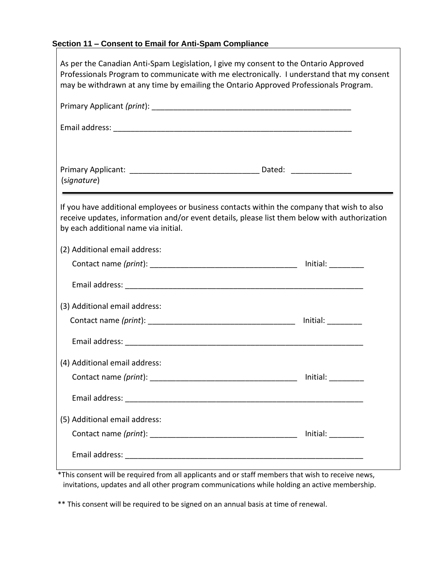# **Section 11 – Consent to Email for Anti-Spam Compliance**

| As per the Canadian Anti-Spam Legislation, I give my consent to the Ontario Approved<br>Professionals Program to communicate with me electronically. I understand that my consent<br>may be withdrawn at any time by emailing the Ontario Approved Professionals Program. |                        |
|---------------------------------------------------------------------------------------------------------------------------------------------------------------------------------------------------------------------------------------------------------------------------|------------------------|
|                                                                                                                                                                                                                                                                           |                        |
|                                                                                                                                                                                                                                                                           |                        |
| (signature)                                                                                                                                                                                                                                                               |                        |
| If you have additional employees or business contacts within the company that wish to also<br>receive updates, information and/or event details, please list them below with authorization<br>by each additional name via initial.                                        |                        |
| (2) Additional email address:                                                                                                                                                                                                                                             |                        |
|                                                                                                                                                                                                                                                                           |                        |
|                                                                                                                                                                                                                                                                           |                        |
| (3) Additional email address:                                                                                                                                                                                                                                             |                        |
|                                                                                                                                                                                                                                                                           |                        |
|                                                                                                                                                                                                                                                                           |                        |
| (4) Additional email address:                                                                                                                                                                                                                                             |                        |
|                                                                                                                                                                                                                                                                           | Initial: $\_\_$        |
|                                                                                                                                                                                                                                                                           |                        |
| (5) Additional email address:                                                                                                                                                                                                                                             |                        |
|                                                                                                                                                                                                                                                                           | Initial: $\frac{1}{1}$ |
|                                                                                                                                                                                                                                                                           |                        |

٦

 \*This consent will be required from all applicants and or staff members that wish to receive news, invitations, updates and all other program communications while holding an active membership.

\*\* This consent will be required to be signed on an annual basis at time of renewal.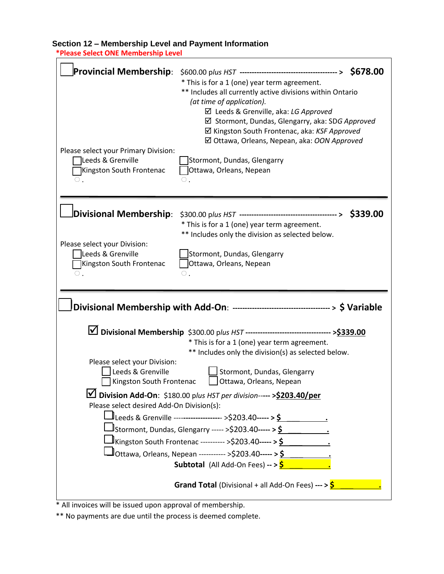# **Section 12 – Membership Level and Payment Information**

 **\*Please Select ONE Membership Level**

\* All invoices will be issued upon approval of membership.

\*\* No payments are due until the process is deemed complete.